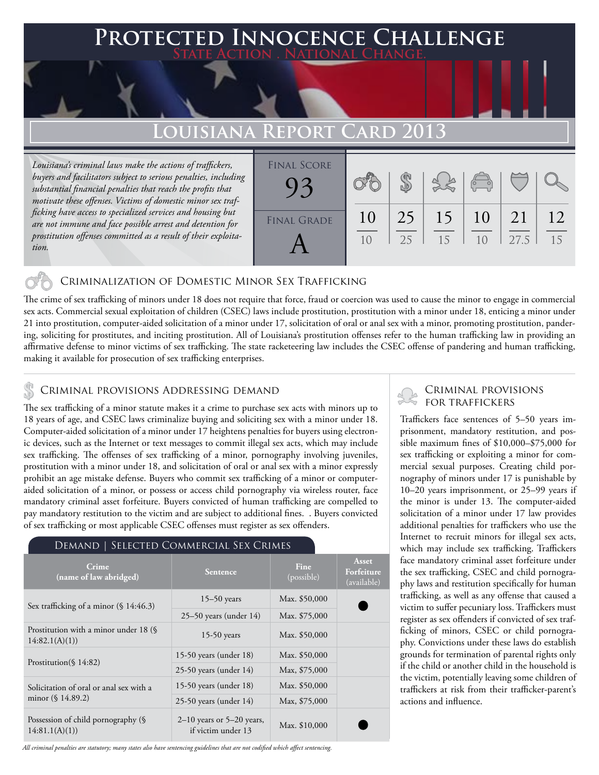## **FED INNOCENCE CHALLENGE State Action . National Change.**

# **Louisiana Report Card 2013**

*Louisiana's criminal laws make the actions of traffickers, buyers and facilitators subject to serious penalties, including substantial financial penalties that reach the profits that motivate these offenses. Victims of domestic minor sex trafficking have access to specialized services and housing but are not immune and face possible arrest and detention for prostitution offenses committed as a result of their exploitation.*

| <b>FINAL SCORE</b> |    |    |    | $\sqrt{\frac{1}{\sigma}}$ |      |    |
|--------------------|----|----|----|---------------------------|------|----|
| <b>FINAL GRADE</b> | 10 | 25 | 15 | 10                        | 21   | 12 |
|                    | 10 | 25 | 15 | 10                        | 27.5 | 15 |

#### Criminalization of Domestic Minor Sex Trafficking

The crime of sex trafficking of minors under 18 does not require that force, fraud or coercion was used to cause the minor to engage in commercial sex acts. Commercial sexual exploitation of children (CSEC) laws include prostitution, prostitution with a minor under 18, enticing a minor under 21 into prostitution, computer-aided solicitation of a minor under 17, solicitation of oral or anal sex with a minor, promoting prostitution, pandering, soliciting for prostitutes, and inciting prostitution. All of Louisiana's prostitution offenses refer to the human trafficking law in providing an affirmative defense to minor victims of sex trafficking. The state racketeering law includes the CSEC offense of pandering and human trafficking, making it available for prosecution of sex trafficking enterprises.

### CRIMINAL PROVISIONS ADDRESSING DEMAND

The sex trafficking of a minor statute makes it a crime to purchase sex acts with minors up to 18 years of age, and CSEC laws criminalize buying and soliciting sex with a minor under 18. Computer-aided solicitation of a minor under 17 heightens penalties for buyers using electronic devices, such as the Internet or text messages to commit illegal sex acts, which may include sex trafficking. The offenses of sex trafficking of a minor, pornography involving juveniles, prostitution with a minor under 18, and solicitation of oral or anal sex with a minor expressly prohibit an age mistake defense. Buyers who commit sex trafficking of a minor or computeraided solicitation of a minor, or possess or access child pornography via wireless router, face mandatory criminal asset forfeiture. Buyers convicted of human trafficking are compelled to pay mandatory restitution to the victim and are subject to additional fines. . Buyers convicted of sex trafficking or most applicable CSEC offenses must register as sex offenders.

| DEMAND   SELECTED COMMERCIAL SEX CRIMES                   |                                                   |                    |                                    |  |  |  |
|-----------------------------------------------------------|---------------------------------------------------|--------------------|------------------------------------|--|--|--|
| Crime<br>(name of law abridged)                           | Sentence                                          | Fine<br>(possible) | Asset<br>Forfeiture<br>(available) |  |  |  |
| Sex trafficking of a minor (§ 14:46.3)                    | $15-50$ years                                     | Max. \$50,000      |                                    |  |  |  |
|                                                           | $25-50$ years (under 14)                          | Max. \$75,000      |                                    |  |  |  |
| Prostitution with a minor under 18 $(\S$<br>14:82.1(A)(1) | $15-50$ years                                     | Max. \$50,000      |                                    |  |  |  |
|                                                           | 15-50 years (under 18)                            | Max. \$50,000      |                                    |  |  |  |
| Prostitution( $$14:82$ )                                  | $25-50$ years (under 14)                          | Max, \$75,000      |                                    |  |  |  |
| Solicitation of oral or anal sex with a                   | 15-50 years (under $18$ )                         | Max. \$50,000      |                                    |  |  |  |
| minor $(\S 14.89.2)$                                      | $25-50$ years (under 14)                          | Max, \$75,000      |                                    |  |  |  |
| Possession of child pornography (§<br>14:81.1(A)(1)       | $2-10$ years or 5-20 years,<br>if victim under 13 | Max. \$10,000      |                                    |  |  |  |

Criminal provisions

Traffickers face sentences of 5–50 years imprisonment, mandatory restitution, and possible maximum fines of \$10,000–\$75,000 for sex trafficking or exploiting a minor for commercial sexual purposes. Creating child pornography of minors under 17 is punishable by 10–20 years imprisonment, or 25–99 years if the minor is under 13. The computer-aided solicitation of a minor under 17 law provides additional penalties for traffickers who use the Internet to recruit minors for illegal sex acts, which may include sex trafficking. Traffickers face mandatory criminal asset forfeiture under the sex trafficking, CSEC and child pornography laws and restitution specifically for human trafficking, as well as any offense that caused a victim to suffer pecuniary loss. Traffickers must register as sex offenders if convicted of sex trafficking of minors, CSEC or child pornography. Convictions under these laws do establish grounds for termination of parental rights only if the child or another child in the household is the victim, potentially leaving some children of traffickers at risk from their trafficker-parent's actions and influence.

*All criminal penalties are statutory; many states also have sentencing guidelines that are not codified which affect sentencing.*